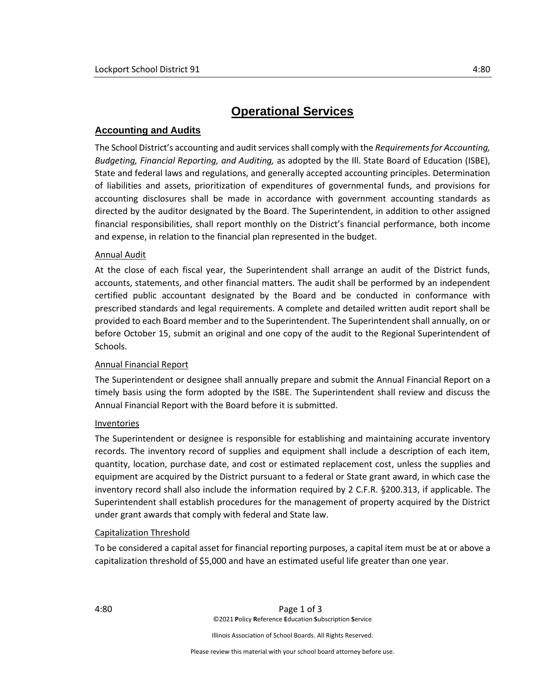# **Operational Services**

# **Accounting and Audits**

The School District's accounting and audit services shall comply with the *Requirements for Accounting, Budgeting, Financial Reporting, and Auditing,* as adopted by the Ill. State Board of Education (ISBE), State and federal laws and regulations, and generally accepted accounting principles. Determination of liabilities and assets, prioritization of expenditures of governmental funds, and provisions for accounting disclosures shall be made in accordance with government accounting standards as directed by the auditor designated by the Board. The Superintendent, in addition to other assigned financial responsibilities, shall report monthly on the District's financial performance, both income and expense, in relation to the financial plan represented in the budget.

## Annual Audit

At the close of each fiscal year, the Superintendent shall arrange an audit of the District funds, accounts, statements, and other financial matters. The audit shall be performed by an independent certified public accountant designated by the Board and be conducted in conformance with prescribed standards and legal requirements. A complete and detailed written audit report shall be provided to each Board member and to the Superintendent. The Superintendent shall annually, on or before October 15, submit an original and one copy of the audit to the Regional Superintendent of Schools.

## Annual Financial Report

The Superintendent or designee shall annually prepare and submit the Annual Financial Report on a timely basis using the form adopted by the ISBE. The Superintendent shall review and discuss the Annual Financial Report with the Board before it is submitted.

## Inventories

The Superintendent or designee is responsible for establishing and maintaining accurate inventory records. The inventory record of supplies and equipment shall include a description of each item, quantity, location, purchase date, and cost or estimated replacement cost, unless the supplies and equipment are acquired by the District pursuant to a federal or State grant award, in which case the inventory record shall also include the information required by 2 C.F.R. §200.313, if applicable. The Superintendent shall establish procedures for the management of property acquired by the District under grant awards that comply with federal and State law.

## Capitalization Threshold

To be considered a capital asset for financial reporting purposes, a capital item must be at or above a capitalization threshold of \$5,000 and have an estimated useful life greater than one year.

Illinois Association of School Boards. All Rights Reserved.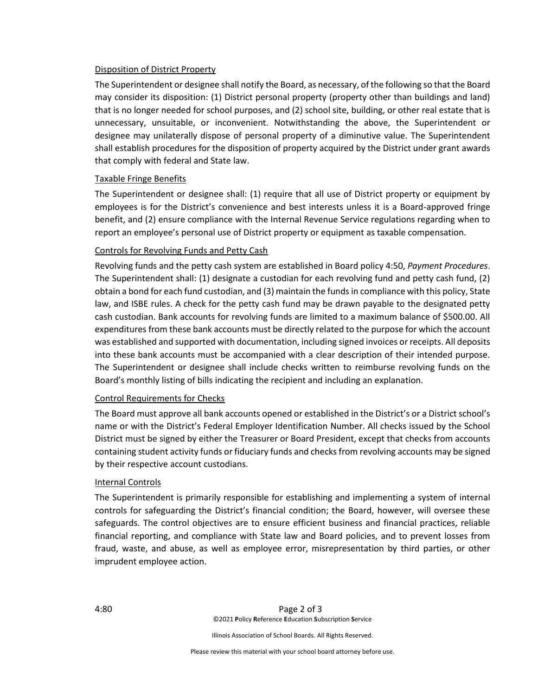#### Disposition of District Property

The Superintendent or designee shall notify the Board, as necessary, of the following so that the Board may consider its disposition: (1) District personal property (property other than buildings and land) that is no longer needed for school purposes, and (2) school site, building, or other real estate that is unnecessary, unsuitable, or inconvenient. Notwithstanding the above, the Superintendent or designee may unilaterally dispose of personal property of a diminutive value. The Superintendent shall establish procedures for the disposition of property acquired by the District under grant awards that comply with federal and State law.

#### Taxable Fringe Benefits

The Superintendent or designee shall: (1) require that all use of District property or equipment by employees is for the District's convenience and best interests unless it is a Board-approved fringe benefit, and (2) ensure compliance with the Internal Revenue Service regulations regarding when to report an employee's personal use of District property or equipment as taxable compensation.

#### Controls for Revolving Funds and Petty Cash

Revolving funds and the petty cash system are established in Board policy 4:50, *Payment Procedures*. The Superintendent shall: (1) designate a custodian for each revolving fund and petty cash fund, (2) obtain a bond for each fund custodian, and (3) maintain the funds in compliance with this policy, State law, and ISBE rules. A check for the petty cash fund may be drawn payable to the designated petty cash custodian. Bank accounts for revolving funds are limited to a maximum balance of \$500.00. All expenditures from these bank accounts must be directly related to the purpose for which the account was established and supported with documentation, including signed invoices or receipts. All deposits into these bank accounts must be accompanied with a clear description of their intended purpose. The Superintendent or designee shall include checks written to reimburse revolving funds on the Board's monthly listing of bills indicating the recipient and including an explanation.

#### Control Requirements for Checks

The Board must approve all bank accounts opened or established in the District's or a District school's name or with the District's Federal Employer Identification Number. All checks issued by the School District must be signed by either the Treasurer or Board President, except that checks from accounts containing student activity funds or fiduciary funds and checks from revolving accounts may be signed by their respective account custodians.

#### Internal Controls

The Superintendent is primarily responsible for establishing and implementing a system of internal controls for safeguarding the District's financial condition; the Board, however, will oversee these safeguards. The control objectives are to ensure efficient business and financial practices, reliable financial reporting, and compliance with State law and Board policies, and to prevent losses from fraud, waste, and abuse, as well as employee error, misrepresentation by third parties, or other imprudent employee action.

Illinois Association of School Boards. All Rights Reserved.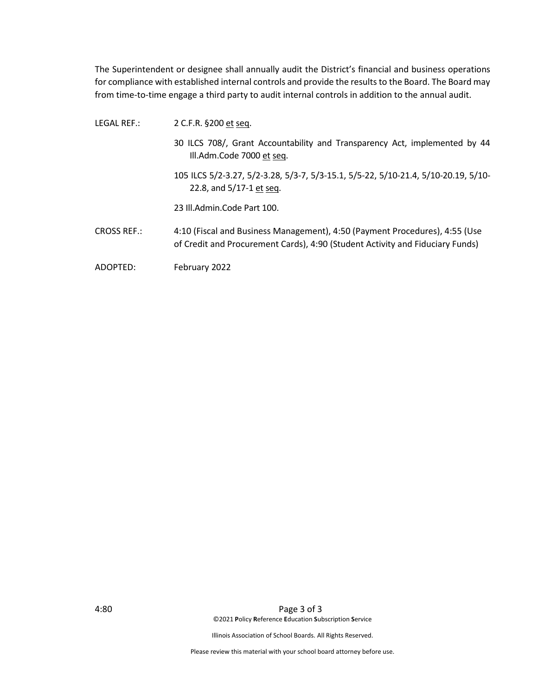The Superintendent or designee shall annually audit the District's financial and business operations for compliance with established internal controls and provide the results to the Board. The Board may from time-to-time engage a third party to audit internal controls in addition to the annual audit.

- LEGAL REF.: 2 C.F.R. §200 et seq. 30 ILCS 708/, Grant Accountability and Transparency Act, implemented by 44 Ill.Adm.Code 7000 et seq. 105 ILCS 5/2-3.27, 5/2-3.28, 5/3-7, 5/3-15.1, 5/5-22, 5/10-21.4, 5/10-20.19, 5/10- 22.8, and 5/17-1 et seq. 23 Ill.Admin.Code Part 100.
- CROSS REF.: 4:10 (Fiscal and Business Management), 4:50 (Payment Procedures), 4:55 (Use of Credit and Procurement Cards), 4:90 (Student Activity and Fiduciary Funds)
- ADOPTED: February 2022

Illinois Association of School Boards. All Rights Reserved.

Please review this material with your school board attorney before use.